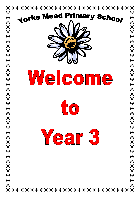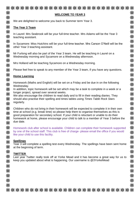| <b>WELCOME TO YEAR 3</b>                                                                                                                                                                                                                                                                                                                                                             |
|--------------------------------------------------------------------------------------------------------------------------------------------------------------------------------------------------------------------------------------------------------------------------------------------------------------------------------------------------------------------------------------|
| We are delighted to welcome you back to Summer term Year 3.                                                                                                                                                                                                                                                                                                                          |
| The Year 3 Team                                                                                                                                                                                                                                                                                                                                                                      |
| In Laurel: Mrs Seabrook will be your full-time teacher. Mrs Adams will be the Year 3<br>teaching assistant.                                                                                                                                                                                                                                                                          |
| In Sycamore: Miss Hutchins will be your full-time teacher. Mrs Carson O'Neill will be the<br>other Year 3 teaching assistant.                                                                                                                                                                                                                                                        |
| Mr Furlong will also be part of the Year 3 team. He will be teaching in Laurel on a<br>Wednesday morning and Sycamore on a Wednesday afternoon.                                                                                                                                                                                                                                      |
| Mrs Holland will be teaching Sycamore on a Wednesday morning.                                                                                                                                                                                                                                                                                                                        |
| Please feel free to speak to any member of the Year 3 team, if you have any questions.                                                                                                                                                                                                                                                                                               |
| <b>Home Learning</b>                                                                                                                                                                                                                                                                                                                                                                 |
| Homework (Maths and English) will be set on a Friday and be due in on the following<br>Wednesday.                                                                                                                                                                                                                                                                                    |
| In addition, topic homework will be set which may be a task to complete in a week or a<br>longer project, spread over several weeks.<br>We also encourage the children to read daily and to fill in their reading diaries. They<br>should also practise their spelling and times tables using Times Table Rock Stars<br>regularly.                                                   |
| Children who do not bring in their homework will be expected to complete it in their own<br>time at school (e.g. break time) so please help them to organise themselves as this is<br>good preparation for secondary school. If your child is reluctant or unable to do their<br>homework at home, please encourage your child to talk to a member of Year 3 before the<br>due date. |
| Homework club after school is available. Children can complete their homework supported<br>by one of the school staff. This club is free of charge- please email the office if you would<br>like your child to use this facility.                                                                                                                                                    |
| <b>Spellings</b><br>Year 3 will complete a spelling test every Wednesday. The spellings have been sent home<br>at the beginning of term.                                                                                                                                                                                                                                             |
| <b>TWITTER</b><br>Last year Twitter really took off at Yorke Mead and it has become a great way for us to<br>keep you updated about what is happening. Our username is @3YorkeMead                                                                                                                                                                                                   |
|                                                                                                                                                                                                                                                                                                                                                                                      |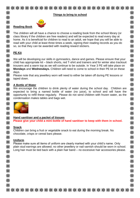| 米      | ***************************                                                               | 米      |
|--------|-------------------------------------------------------------------------------------------|--------|
| ☀      | Things to bring to school                                                                 | 米      |
| ☀<br>☀ | <b>Reading Book</b>                                                                       | 米<br>米 |
| 米      | The children will all have a chance to choose a reading book from the school library (or  | 米      |
| 米      | class library if the children are free readers) and will be expected to read every day at | 米      |

class library if the children are free readers) and will be expected to read every day at home. As it is beneficial for children to read to an adult, we hope that you will be able to read with your child at least three times a week, signing their reading records as you do so, so that they can be awarded with reading reward stickers.

# **PE Kit**

☀

☀

关举条条

※

※

头米

米

米

关举条

米米米

米米米

※

米

米

We will be developing our skills in gymnastics, dance and games. Please ensure that your child has appropriate kit – black shorts, red T-shirt and trainers and for winter also tracksuit trousers and a warm top as we will continue to be outside. In Year 3 PE will take place on **Mondays** and **Wednesdays.** Children will need to come to school in their PE kit on these days.

Please note that any jewellery worn will need to either be taken off during PE lessons or taped down.

#### ☀ **A Bottle of Water** 米

We encourage the children to drink plenty of water during the school day. Children are expected to bring a named bottle of water (no juice), to school and will have the opportunity to refill these regularly. Please do not send children with frozen water, as the condensation makes tables and bags wet.



### **Hand sanitiser and a packet of tissues**

**Please give your child a mini-bottle of hand sanitiser to keep with them in school.**

### **Snack**

Children can bring a fruit or vegetable snack to eat during the morning break. No chocolate, crisps or cereal bars please.

## **Uniform**

Please make sure all items of uniform are clearly marked with your child's name. Only plain stud earrings are allowed; no other jewellery or nail varnish should be worn in school. Long hair must be tied back with a plain hair band – no excessive hair accessories please.